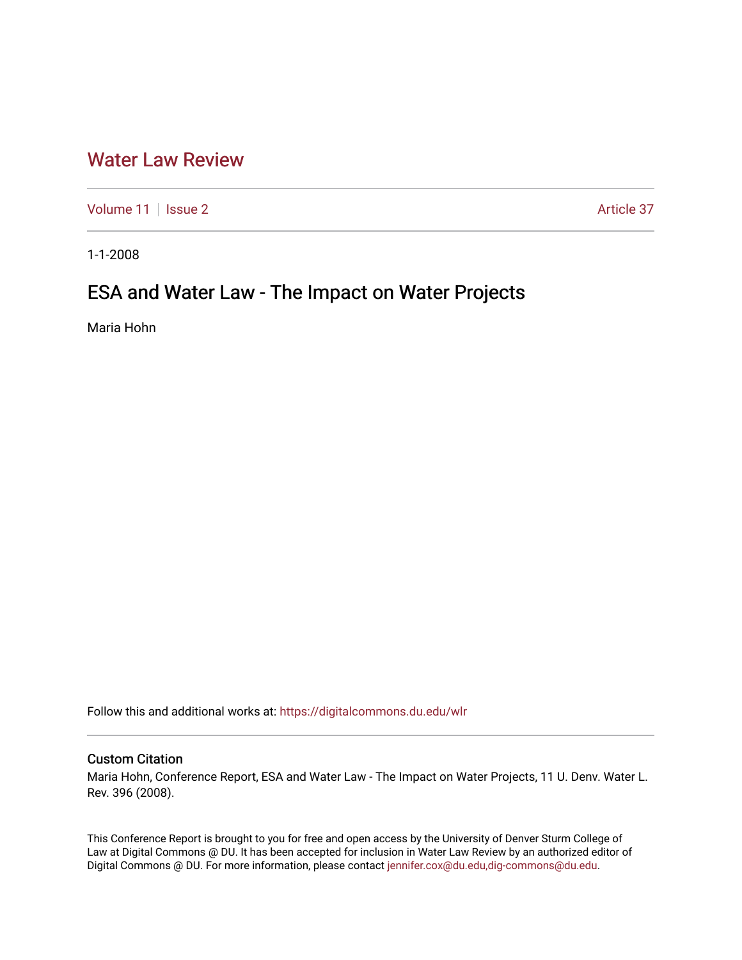## [Water Law Review](https://digitalcommons.du.edu/wlr)

[Volume 11](https://digitalcommons.du.edu/wlr/vol11) | [Issue 2](https://digitalcommons.du.edu/wlr/vol11/iss2) Article 37

1-1-2008

## ESA and Water Law - The Impact on Water Projects

Maria Hohn

Follow this and additional works at: [https://digitalcommons.du.edu/wlr](https://digitalcommons.du.edu/wlr?utm_source=digitalcommons.du.edu%2Fwlr%2Fvol11%2Fiss2%2F37&utm_medium=PDF&utm_campaign=PDFCoverPages) 

## Custom Citation

Maria Hohn, Conference Report, ESA and Water Law - The Impact on Water Projects, 11 U. Denv. Water L. Rev. 396 (2008).

This Conference Report is brought to you for free and open access by the University of Denver Sturm College of Law at Digital Commons @ DU. It has been accepted for inclusion in Water Law Review by an authorized editor of Digital Commons @ DU. For more information, please contact [jennifer.cox@du.edu,dig-commons@du.edu](mailto:jennifer.cox@du.edu,dig-commons@du.edu).